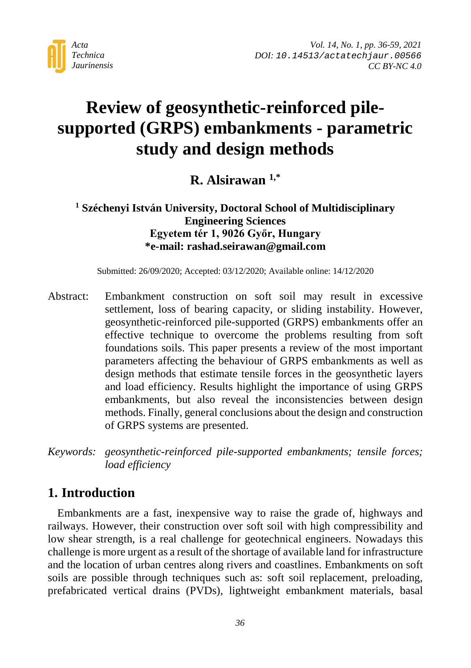

# **Review of geosynthetic-reinforced pilesupported (GRPS) embankments - parametric study and design methods**

**R. Alsirawan 1,\***

**<sup>1</sup> Széchenyi István University, Doctoral School of Multidisciplinary Engineering Sciences Egyetem tér 1, 9026 Győr, Hungary \*e-mail: rashad.seirawan@gmail.com**

Submitted: 26/09/2020; Accepted: 03/12/2020; Available online: 14/12/2020

Abstract: Embankment construction on soft soil may result in excessive settlement, loss of bearing capacity, or sliding instability. However, geosynthetic-reinforced pile-supported (GRPS) embankments offer an effective technique to overcome the problems resulting from soft foundations soils. This paper presents a review of the most important parameters affecting the behaviour of GRPS embankments as well as design methods that estimate tensile forces in the geosynthetic layers and load efficiency. Results highlight the importance of using GRPS embankments, but also reveal the inconsistencies between design methods. Finally, general conclusions about the design and construction of GRPS systems are presented.

*Keywords: geosynthetic-reinforced pile-supported embankments; tensile forces; load efficiency*

# **1. Introduction**

Embankments are a fast, inexpensive way to raise the grade of, highways and railways. However, their construction over soft soil with high compressibility and low shear strength, is a real challenge for geotechnical engineers. Nowadays this challenge is more urgent as a result of the shortage of available land for infrastructure and the location of urban centres along rivers and coastlines. Embankments on soft soils are possible through techniques such as: soft soil replacement, preloading, prefabricated vertical drains (PVDs), lightweight embankment materials, basal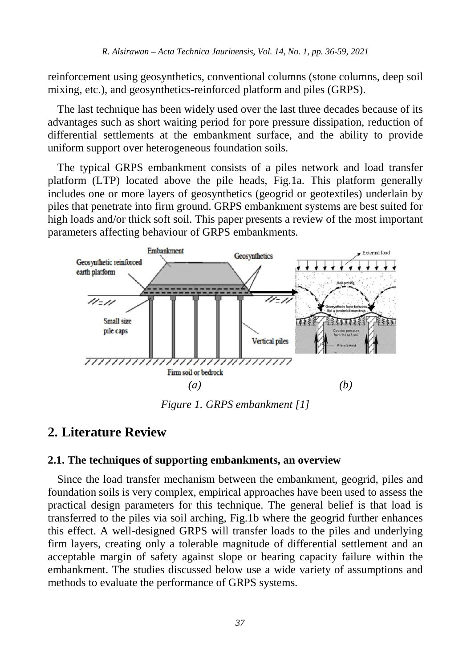reinforcement using geosynthetics, conventional columns (stone columns, deep soil mixing, etc.), and geosynthetics-reinforced platform and piles (GRPS).

The last technique has been widely used over the last three decades because of its advantages such as short waiting period for pore pressure dissipation, reduction of differential settlements at the embankment surface, and the ability to provide uniform support over heterogeneous foundation soils.

The typical GRPS embankment consists of a piles network and load transfer platform (LTP) located above the pile heads, Fig.1a. This platform generally includes one or more layers of geosynthetics (geogrid or geotextiles) underlain by piles that penetrate into firm ground. GRPS embankment systems are best suited for high loads and/or thick soft soil. This paper presents a review of the most important parameters affecting behaviour of GRPS embankments.



*Figure 1. GRPS embankment [1]*

### **2. Literature Review**

#### **2.1. The techniques of supporting embankments, an overview**

Since the load transfer mechanism between the embankment, geogrid, piles and foundation soils is very complex, empirical approaches have been used to assess the practical design parameters for this technique. The general belief is that load is transferred to the piles via soil arching, Fig.1b where the geogrid further enhances this effect. A well-designed GRPS will transfer loads to the piles and underlying firm layers, creating only a tolerable magnitude of differential settlement and an acceptable margin of safety against slope or bearing capacity failure within the embankment. The studies discussed below use a wide variety of assumptions and methods to evaluate the performance of GRPS systems.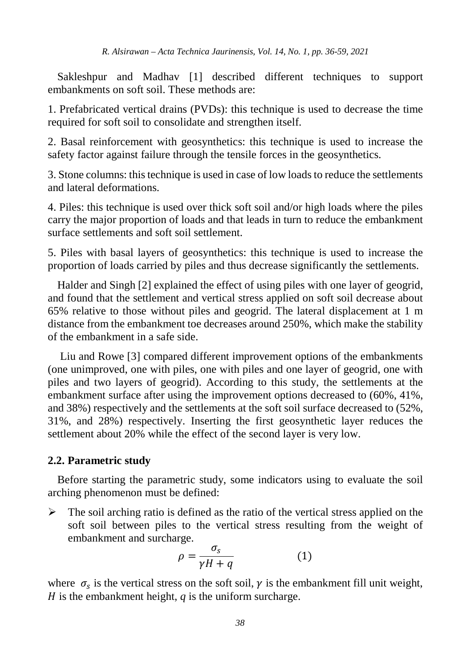Sakleshpur and Madhav [1] described different techniques to support embankments on soft soil. These methods are:

1. Prefabricated vertical drains (PVDs): this technique is used to decrease the time required for soft soil to consolidate and strengthen itself.

2. Basal reinforcement with geosynthetics: this technique is used to increase the safety factor against failure through the tensile forces in the geosynthetics.

3. Stone columns: this technique is used in case of low loads to reduce the settlements and lateral deformations.

4. Piles: this technique is used over thick soft soil and/or high loads where the piles carry the major proportion of loads and that leads in turn to reduce the embankment surface settlements and soft soil settlement.

5. Piles with basal layers of geosynthetics: this technique is used to increase the proportion of loads carried by piles and thus decrease significantly the settlements.

Halder and Singh [2] explained the effect of using piles with one layer of geogrid, and found that the settlement and vertical stress applied on soft soil decrease about 65% relative to those without piles and geogrid. The lateral displacement at 1 m distance from the embankment toe decreases around 250%, which make the stability of the embankment in a safe side.

Liu and Rowe [3] compared different improvement options of the embankments (one unimproved, one with piles, one with piles and one layer of geogrid, one with piles and two layers of geogrid). According to this study, the settlements at the embankment surface after using the improvement options decreased to (60%, 41%, and 38%) respectively and the settlements at the soft soil surface decreased to (52%, 31%, and 28%) respectively. Inserting the first geosynthetic layer reduces the settlement about 20% while the effect of the second layer is very low.

#### **2.2. Parametric study**

Before starting the parametric study, some indicators using to evaluate the soil arching phenomenon must be defined:

 $\triangleright$  The soil arching ratio is defined as the ratio of the vertical stress applied on the soft soil between piles to the vertical stress resulting from the weight of embankment and surcharge.

$$
\rho = \frac{\sigma_s}{\gamma H + q} \tag{1}
$$

where  $\sigma_s$  is the vertical stress on the soft soil,  $\gamma$  is the embankment fill unit weight,  $H$  is the embankment height,  $q$  is the uniform surcharge.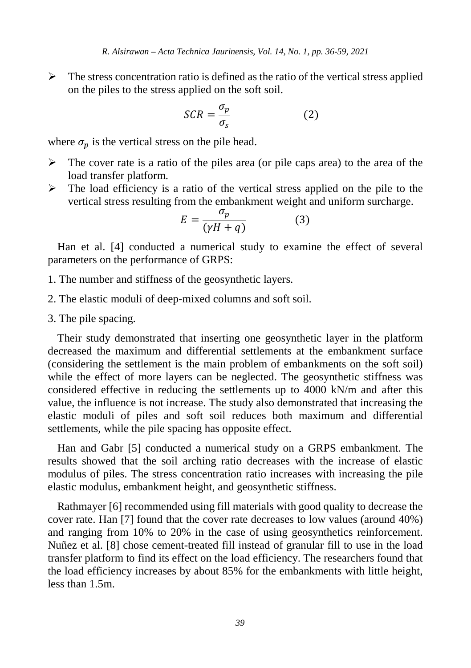$\triangleright$  The stress concentration ratio is defined as the ratio of the vertical stress applied on the piles to the stress applied on the soft soil.

$$
SCR = \frac{\sigma_p}{\sigma_s} \tag{2}
$$

where  $\sigma_p$  is the vertical stress on the pile head.

- $\triangleright$  The cover rate is a ratio of the piles area (or pile caps area) to the area of the load transfer platform.
- $\triangleright$  The load efficiency is a ratio of the vertical stress applied on the pile to the vertical stress resulting from the embankment weight and uniform surcharge.

$$
E = \frac{\sigma_p}{(\gamma H + q)}\tag{3}
$$

Han et al. [4] conducted a numerical study to examine the effect of several parameters on the performance of GRPS:

- 1. The number and stiffness of the geosynthetic layers.
- 2. The elastic moduli of deep-mixed columns and soft soil.
- 3. The pile spacing.

Their study demonstrated that inserting one geosynthetic layer in the platform decreased the maximum and differential settlements at the embankment surface (considering the settlement is the main problem of embankments on the soft soil) while the effect of more layers can be neglected. The geosynthetic stiffness was considered effective in reducing the settlements up to 4000 kN/m and after this value, the influence is not increase. The study also demonstrated that increasing the elastic moduli of piles and soft soil reduces both maximum and differential settlements, while the pile spacing has opposite effect.

Han and Gabr [5] conducted a numerical study on a GRPS embankment. The results showed that the soil arching ratio decreases with the increase of elastic modulus of piles. The stress concentration ratio increases with increasing the pile elastic modulus, embankment height, and geosynthetic stiffness.

Rathmayer [6] recommended using fill materials with good quality to decrease the cover rate. Han [7] found that the cover rate decreases to low values (around 40%) and ranging from 10% to 20% in the case of using geosynthetics reinforcement. Nuñez et al. [8] chose cement-treated fill instead of granular fill to use in the load transfer platform to find its effect on the load efficiency. The researchers found that the load efficiency increases by about 85% for the embankments with little height, less than 1.5m.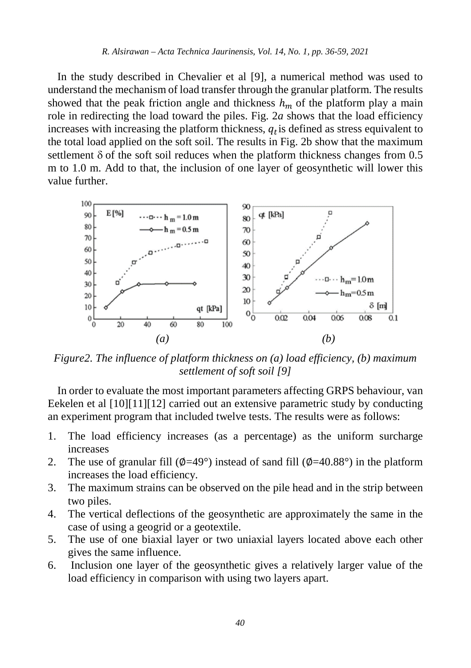In the study described in Chevalier et al [9], a numerical method was used to understand the mechanism of load transfer through the granular platform. The results showed that the peak friction angle and thickness  $h_m$  of the platform play a main role in redirecting the load toward the piles. Fig. 2*a* shows that the load efficiency increases with increasing the platform thickness,  $q_t$  is defined as stress equivalent to the total load applied on the soft soil. The results in Fig. 2b show that the maximum settlement  $\delta$  of the soft soil reduces when the platform thickness changes from 0.5 m to 1.0 m. Add to that, the inclusion of one layer of geosynthetic will lower this value further.



*Figure2. The influence of platform thickness on (a) load efficiency, (b) maximum settlement of soft soil [9]*

In order to evaluate the most important parameters affecting GRPS behaviour, van Eekelen et al [10][11][12] carried out an extensive parametric study by conducting an experiment program that included twelve tests. The results were as follows:

- 1. The load efficiency increases (as a percentage) as the uniform surcharge increases
- 2. The use of granular fill  $(\phi=49^{\circ})$  instead of sand fill  $(\phi=40.88^{\circ})$  in the platform increases the load efficiency.
- 3. The maximum strains can be observed on the pile head and in the strip between two piles.
- 4. The vertical deflections of the geosynthetic are approximately the same in the case of using a geogrid or a geotextile.
- 5. The use of one biaxial layer or two uniaxial layers located above each other gives the same influence.
- 6. Inclusion one layer of the geosynthetic gives a relatively larger value of the load efficiency in comparison with using two layers apart.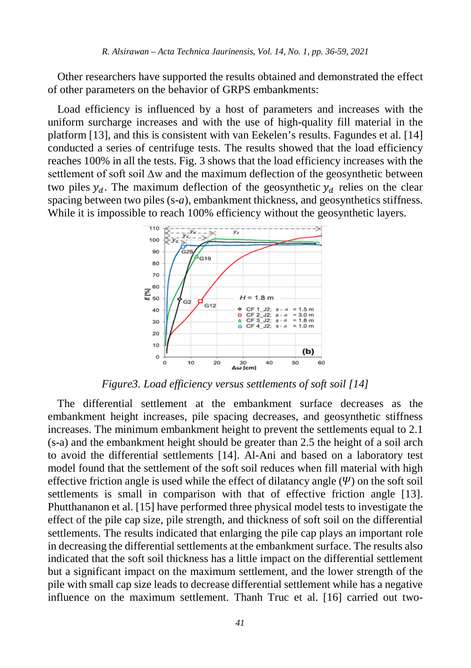Other researchers have supported the results obtained and demonstrated the effect of other parameters on the behavior of GRPS embankments:

Load efficiency is influenced by a host of parameters and increases with the uniform surcharge increases and with the use of high-quality fill material in the platform [13], and this is consistent with van Eekelen's results. Fagundes et al. [14] conducted a series of centrifuge tests. The results showed that the load efficiency reaches 100% in all the tests. Fig. 3 shows that the load efficiency increases with the settlement of soft soil ∆w and the maximum deflection of the geosynthetic between two piles  $y_d$ . The maximum deflection of the geosynthetic  $y_d$  relies on the clear spacing between two piles (s-*a*), embankment thickness, and geosynthetics stiffness. While it is impossible to reach 100% efficiency without the geosynthetic layers.



*Figure3. Load efficiency versus settlements of soft soil [14]*

The differential settlement at the embankment surface decreases as the embankment height increases, pile spacing decreases, and geosynthetic stiffness increases. The minimum embankment height to prevent the settlements equal to 2.1 (s-a) and the embankment height should be greater than 2.5 the height of a soil arch to avoid the differential settlements [14]. Al-Ani and based on a laboratory test model found that the settlement of the soft soil reduces when fill material with high effective friction angle is used while the effect of dilatancy angle  $(\Psi)$  on the soft soil settlements is small in comparison with that of effective friction angle [13]. Phutthananon et al. [15] have performed three physical model tests to investigate the effect of the pile cap size, pile strength, and thickness of soft soil on the differential settlements. The results indicated that enlarging the pile cap plays an important role in decreasing the differential settlements at the embankment surface. The results also indicated that the soft soil thickness has a little impact on the differential settlement but a significant impact on the maximum settlement, and the lower strength of the pile with small cap size leads to decrease differential settlement while has a negative influence on the maximum settlement. Thanh Truc et al. [16] carried out two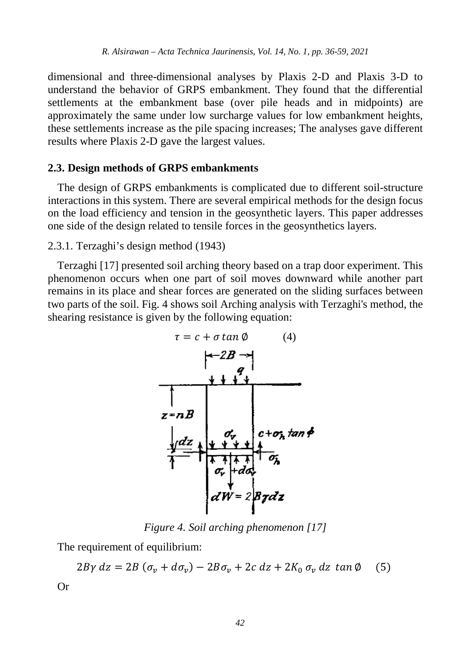dimensional and three-dimensional analyses by Plaxis 2-D and Plaxis 3-D to understand the behavior of GRPS embankment. They found that the differential settlements at the embankment base (over pile heads and in midpoints) are approximately the same under low surcharge values for low embankment heights, these settlements increase as the pile spacing increases; The analyses gave different results where Plaxis 2-D gave the largest values.

#### **2.3. Design methods of GRPS embankments**

The design of GRPS embankments is complicated due to different soil-structure interactions in this system. There are several empirical methods for the design focus on the load efficiency and tension in the geosynthetic layers. This paper addresses one side of the design related to tensile forces in the geosynthetics layers.

2.3.1. Terzaghi's design method (1943)

Terzaghi [17] presented soil arching theory based on a trap door experiment. This phenomenon occurs when one part of soil moves downward while another part remains in its place and shear forces are generated on the sliding surfaces between two parts of the soil. Fig. 4 shows soil Arching analysis with Terzaghi's method, the shearing resistance is given by the following equation:



*Figure 4. Soil arching phenomenon [17]*

The requirement of equilibrium:

$$
2B\gamma dz = 2B(\sigma_v + d\sigma_v) - 2B\sigma_v + 2c dz + 2K_0 \sigma_v dz \tan\phi
$$
 (5)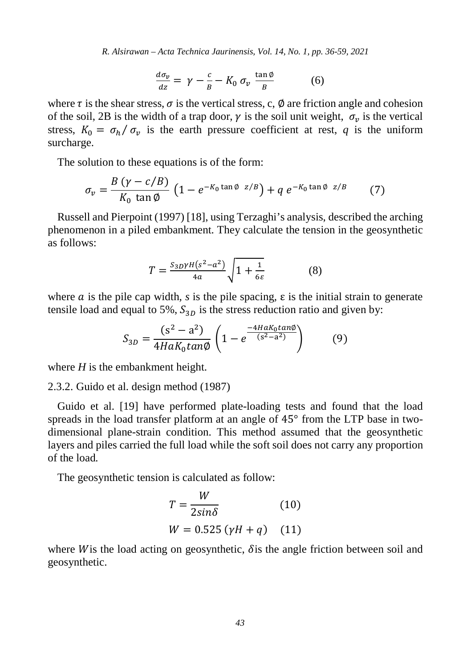$$
\frac{d\sigma_v}{dz} = \gamma - \frac{c}{B} - K_0 \sigma_v \frac{\tan \phi}{B} \tag{6}
$$

where  $\tau$  is the shear stress,  $\sigma$  is the vertical stress, c,  $\varnothing$  are friction angle and cohesion of the soil, 2B is the width of a trap door,  $\gamma$  is the soil unit weight,  $\sigma_n$  is the vertical stress,  $K_0 = \sigma_h / \sigma_v$  is the earth pressure coefficient at rest, *q* is the uniform surcharge.

The solution to these equations is of the form:

$$
\sigma_v = \frac{B\left(\gamma - c/B\right)}{K_0\left(\tan\phi\right)}\left(1 - e^{-K_0\tan\phi\ z/B}\right) + q\ e^{-K_0\tan\phi\ z/B} \tag{7}
$$

Russell and Pierpoint (1997) [18], using Terzaghi's analysis, described the arching phenomenon in a piled embankment. They calculate the tension in the geosynthetic as follows:

$$
T = \frac{S_{3D}\gamma H(s^2 - a^2)}{4a} \sqrt{1 + \frac{1}{6\varepsilon}} \tag{8}
$$

where a is the pile cap width, s is the pile spacing,  $\varepsilon$  is the initial strain to generate tensile load and equal to 5%,  $S_{3D}$  is the stress reduction ratio and given by:

$$
S_{3D} = \frac{(s^2 - a^2)}{4HaK_0 \tan \phi} \left( 1 - e^{\frac{-4HaK_0 \tan \phi}{(s^2 - a^2)}} \right) \tag{9}
$$

where *H* is the embankment height.

2.3.2. Guido et al. design method (1987)

Guido et al. [19] have performed plate-loading tests and found that the load spreads in the load transfer platform at an angle of 45° from the LTP base in twodimensional plane-strain condition. This method assumed that the geosynthetic layers and piles carried the full load while the soft soil does not carry any proportion of the load*.*

The geosynthetic tension is calculated as follow:

$$
T = \frac{W}{2\sin\delta}
$$
 (10)  

$$
W = 0.525 \left(\gamma H + q\right)
$$
 (11)

where W is the load acting on geosynthetic,  $\delta$  is the angle friction between soil and geosynthetic.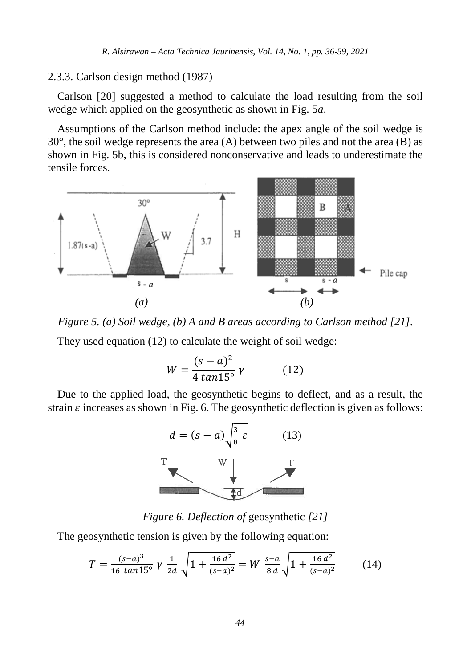#### 2.3.3. Carlson design method (1987)

Carlson [20] suggested a method to calculate the load resulting from the soil wedge which applied on the geosynthetic as shown in Fig. 5*a*.

Assumptions of the Carlson method include: the apex angle of the soil wedge is  $30^{\circ}$ , the soil wedge represents the area (A) between two piles and not the area (B) as shown in Fig. 5b, this is considered nonconservative and leads to underestimate the tensile forces.



*Figure 5. (a) Soil wedge, (b) A and B areas according to Carlson method [21].* They used equation (12) to calculate the weight of soil wedge:

$$
W = \frac{(s-a)^2}{4\tan 15^\circ} \gamma \tag{12}
$$

Due to the applied load, the geosynthetic begins to deflect, and as a result, the strain  $\varepsilon$  increases as shown in Fig. 6. The geosynthetic deflection is given as follows:



*Figure 6. Deflection of* geosynthetic *[21]*

The geosynthetic tension is given by the following equation:

$$
T = \frac{(s-a)^3}{16 \tan 15^\circ} \gamma \frac{1}{2d} \sqrt{1 + \frac{16 d^2}{(s-a)^2}} = W \frac{s-a}{8 d} \sqrt{1 + \frac{16 d^2}{(s-a)^2}} \tag{14}
$$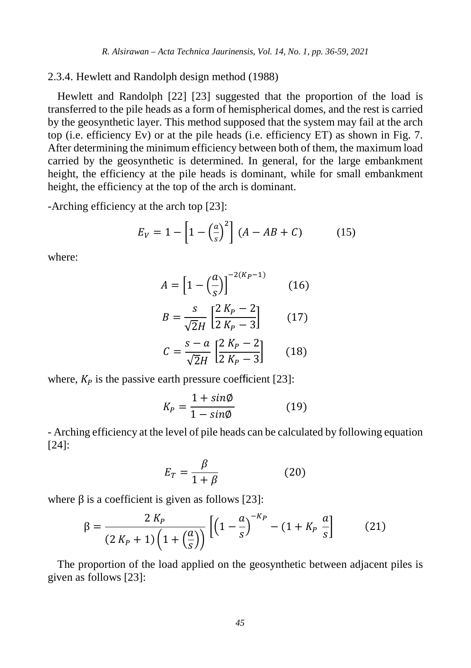#### 2.3.4. Hewlett and Randolph design method (1988)

Hewlett and Randolph [22] [23] suggested that the proportion of the load is transferred to the pile heads as a form of hemispherical domes, and the rest is carried by the geosynthetic layer. This method supposed that the system may fail at the arch top (i.e. efficiency Ev) or at the pile heads (i.e. efficiency ET) as shown in Fig. 7. After determining the minimum efficiency between both of them, the maximum load carried by the geosynthetic is determined. In general, for the large embankment height, the efficiency at the pile heads is dominant, while for small embankment height, the efficiency at the top of the arch is dominant.

-Arching efficiency at the arch top [23]:

$$
E_V = 1 - \left[1 - \left(\frac{a}{s}\right)^2\right] (A - AB + C) \tag{15}
$$

where:

$$
A = \left[1 - \left(\frac{a}{s}\right)\right]^{-2(K_P - 1)}\tag{16}
$$

$$
B = \frac{s}{\sqrt{2}H} \left[ \frac{2\,K_P - 2}{2\,K_P - 3} \right] \tag{17}
$$

$$
C = \frac{s - a}{\sqrt{2}H} \left[ \frac{2 K_P - 2}{2 K_P - 3} \right] \tag{18}
$$

where,  $K_p$  is the passive earth pressure coefficient [23]:

$$
K_P = \frac{1 + \sin\phi}{1 - \sin\phi} \tag{19}
$$

- Arching efficiency at the level of pile heads can be calculated by following equation [24]:

$$
E_T = \frac{\beta}{1 + \beta} \tag{20}
$$

where  $\beta$  is a coefficient is given as follows [23]:

$$
\beta = \frac{2 K_P}{(2 K_P + 1) \left(1 + \left(\frac{a}{s}\right)\right)} \left[ \left(1 - \frac{a}{s}\right)^{-K_P} - (1 + K_P \frac{a}{s}\right] \tag{21}
$$

The proportion of the load applied on the geosynthetic between adjacent piles is given as follows [23]: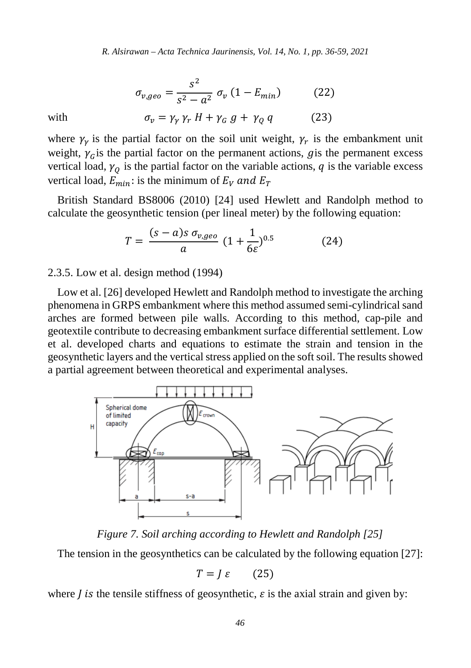$$
\sigma_{v,geo} = \frac{s^2}{s^2 - a^2} \sigma_v (1 - E_{min})
$$
 (22)

with 
$$
\sigma_{\nu} = \gamma_{\gamma} \gamma_{r} H + \gamma_{G} g + \gamma_{Q} q \qquad (23)
$$

where  $\gamma_{\nu}$  is the partial factor on the soil unit weight,  $\gamma_{r}$  is the embankment unit weight,  $\gamma_c$  is the partial factor on the permanent actions, g is the permanent excess vertical load,  $\gamma_0$  is the partial factor on the variable actions,  $q$  is the variable excess vertical load,  $E_{min}$ : is the minimum of  $E_V$  and  $E_T$ 

British Standard BS8006 (2010) [24] used Hewlett and Randolph method to calculate the geosynthetic tension (per lineal meter) by the following equation:

$$
T = \frac{(s-a)s \sigma_{v,geo}}{a} (1 + \frac{1}{6\varepsilon})^{0.5}
$$
 (24)

#### 2.3.5. Low et al. design method (1994)

Low et al. [26] developed Hewlett and Randolph method to investigate the arching phenomena in GRPS embankment where this method assumed semi-cylindrical sand arches are formed between pile walls. According to this method, cap-pile and geotextile contribute to decreasing embankment surface differential settlement. Low et al. developed charts and equations to estimate the strain and tension in the geosynthetic layers and the vertical stress applied on the soft soil. The results showed a partial agreement between theoretical and experimental analyses.



*Figure 7. Soil arching according to Hewlett and Randolph [25]*

The tension in the geosynthetics can be calculated by the following equation [27]:

$$
T = J \varepsilon \qquad (25)
$$

where *l* is the tensile stiffness of geosynthetic,  $\varepsilon$  is the axial strain and given by: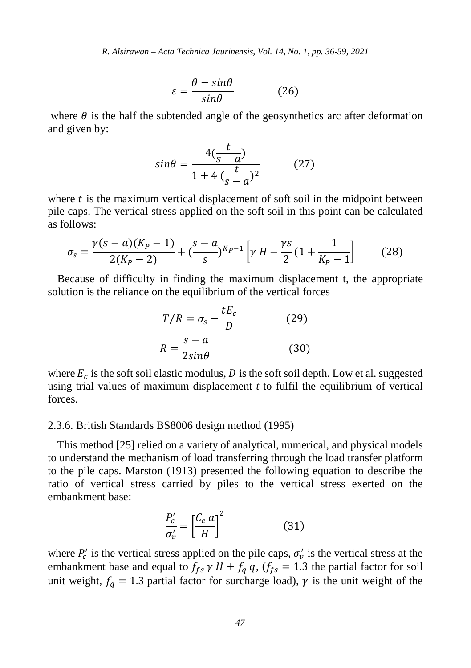$$
\varepsilon = \frac{\theta - \sin\theta}{\sin\theta} \tag{26}
$$

where  $\theta$  is the half the subtended angle of the geosynthetics arc after deformation and given by:

$$
sin\theta = \frac{4(\frac{t}{s-a})}{1+4(\frac{t}{s-a})^2}
$$
 (27)

where  $t$  is the maximum vertical displacement of soft soil in the midpoint between pile caps. The vertical stress applied on the soft soil in this point can be calculated as follows:

$$
\sigma_s = \frac{\gamma(s-a)(K_P - 1)}{2(K_P - 2)} + \left(\frac{s-a}{s}\right)^{K_P - 1} \left[\gamma H - \frac{\gamma s}{2} \left(1 + \frac{1}{K_P - 1}\right)\right] \tag{28}
$$

Because of difficulty in finding the maximum displacement t, the appropriate solution is the reliance on the equilibrium of the vertical forces

$$
T/R = \sigma_s - \frac{tE_c}{D}
$$
 (29)  

$$
R = \frac{s - a}{2sin\theta}
$$
 (30)

where  $E_c$  is the soft soil elastic modulus, D is the soft soil depth. Low et al. suggested using trial values of maximum displacement *t* to fulfil the equilibrium of vertical forces.

#### 2.3.6. British Standards BS8006 design method (1995)

This method [25] relied on a variety of analytical, numerical, and physical models to understand the mechanism of load transferring through the load transfer platform to the pile caps. Marston (1913) presented the following equation to describe the ratio of vertical stress carried by piles to the vertical stress exerted on the embankment base:

$$
\frac{P_c'}{\sigma_v'} = \left[\frac{C_c \ a}{H}\right]^2 \tag{31}
$$

where  $P'_c$  is the vertical stress applied on the pile caps,  $\sigma'_v$  is the vertical stress at the embankment base and equal to  $f_{fs} \gamma H + f_q q$ ,  $(f_{fs} = 1.3$  the partial factor for soil unit weight,  $f_q = 1.3$  partial factor for surcharge load),  $\gamma$  is the unit weight of the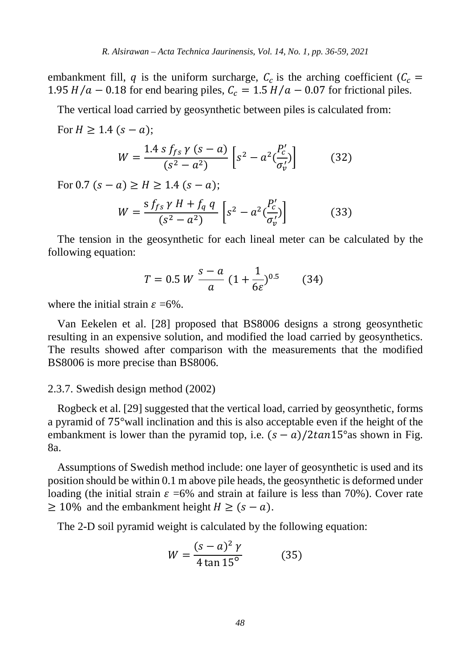embankment fill, q is the uniform surcharge,  $C_c$  is the arching coefficient ( $C_c$  = 1.95  $H/a - 0.18$  for end bearing piles,  $C_c = 1.5 H/a - 0.07$  for frictional piles.

The vertical load carried by geosynthetic between piles is calculated from:

For 
$$
H \ge 1.4
$$
 ( $s - a$ );  
\n
$$
W = \frac{1.4 \, s \, f_{fs} \, \gamma \, (s - a)}{(s^2 - a^2)} \left[ s^2 - a^2 \frac{P'_c}{\sigma'_v} \right]
$$
\n(32)

For 0.7  $(s - a) \ge H \ge 1.4$   $(s - a)$ ;

$$
W = \frac{s \, f_{fs} \, \gamma \, H + f_q \, q}{(s^2 - a^2)} \left[ s^2 - a^2 \left( \frac{P'_c}{\sigma'_v} \right) \right] \tag{33}
$$

The tension in the geosynthetic for each lineal meter can be calculated by the following equation:

$$
T = 0.5 W \frac{s - a}{a} (1 + \frac{1}{6\varepsilon})^{0.5} \tag{34}
$$

where the initial strain  $\varepsilon = 6\%$ .

Van Eekelen et al. [28] proposed that BS8006 designs a strong geosynthetic resulting in an expensive solution, and modified the load carried by geosynthetics. The results showed after comparison with the measurements that the modified BS8006 is more precise than BS8006.

#### 2.3.7. Swedish design method (2002)

Rogbeck et al. [29] suggested that the vertical load, carried by geosynthetic, forms a pyramid of 75°wall inclination and this is also acceptable even if the height of the embankment is lower than the pyramid top, i.e.  $(s - a)/2 \tan 15^\circ$  as shown in Fig. 8a.

Assumptions of Swedish method include: one layer of geosynthetic is used and its position should be within 0.1 m above pile heads, the geosynthetic is deformed under loading (the initial strain  $\varepsilon$  =6% and strain at failure is less than 70%). Cover rate  $\geq 10\%$  and the embankment height  $H \geq (s - a)$ .

The 2-D soil pyramid weight is calculated by the following equation:

$$
W = \frac{(s - a)^2 \gamma}{4 \tan 15^\circ}
$$
 (35)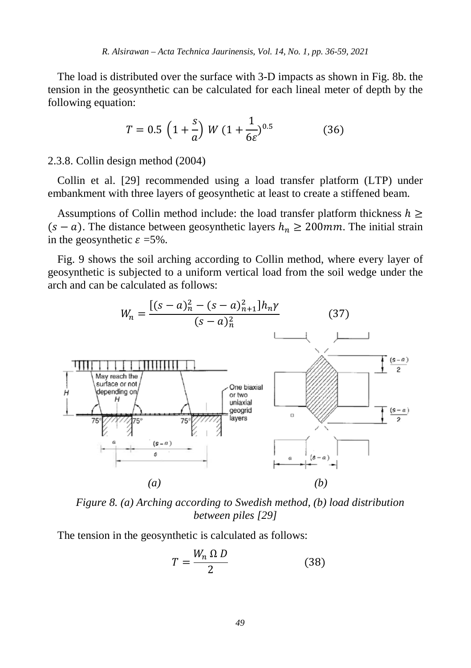The load is distributed over the surface with 3-D impacts as shown in Fig. 8b. the tension in the geosynthetic can be calculated for each lineal meter of depth by the following equation:

$$
T = 0.5 \left( 1 + \frac{s}{a} \right) W \left( 1 + \frac{1}{6\varepsilon} \right)^{0.5} \tag{36}
$$

2.3.8. Collin design method (2004)

Collin et al. [29] recommended using a load transfer platform (LTP) under embankment with three layers of geosynthetic at least to create a stiffened beam.

Assumptions of Collin method include: the load transfer platform thickness  $h \geq$  $(s - a)$ . The distance between geosynthetic layers  $h_n \ge 200$  *mm*. The initial strain in the geosynthetic  $\varepsilon = 5\%$ .

Fig. 9 shows the soil arching according to Collin method, where every layer of geosynthetic is subjected to a uniform vertical load from the soil wedge under the arch and can be calculated as follows:



*Figure 8. (a) Arching according to Swedish method, (b) load distribution between piles [29]*

The tension in the geosynthetic is calculated as follows:

$$
T = \frac{W_n \Omega D}{2} \tag{38}
$$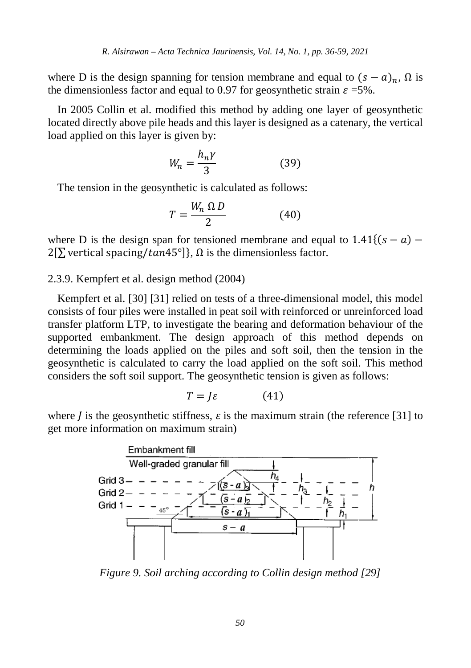where D is the design spanning for tension membrane and equal to  $(s - a)_n$ ,  $\Omega$  is the dimensionless factor and equal to 0.97 for geosynthetic strain  $\varepsilon = 5\%$ .

In 2005 Collin et al. modified this method by adding one layer of geosynthetic located directly above pile heads and this layer is designed as a catenary, the vertical load applied on this layer is given by:

$$
W_n = \frac{h_n \gamma}{3} \tag{39}
$$

The tension in the geosynthetic is calculated as follows:

$$
T = \frac{W_n \Omega D}{2} \tag{40}
$$

where D is the design span for tensioned membrane and equal to  $1.41$ {(s – a) –  $2[\sum$  vertical spacing/tan45°]},  $\Omega$  is the dimensionless factor.

2.3.9. Kempfert et al. design method (2004)

Kempfert et al. [30] [31] relied on tests of a three-dimensional model, this model consists of four piles were installed in peat soil with reinforced or unreinforced load transfer platform LTP, to investigate the bearing and deformation behaviour of the supported embankment. The design approach of this method depends on determining the loads applied on the piles and soft soil, then the tension in the geosynthetic is calculated to carry the load applied on the soft soil. This method considers the soft soil support. The geosynthetic tension is given as follows:

$$
T = J\varepsilon \tag{41}
$$

where *l* is the geosynthetic stiffness,  $\varepsilon$  is the maximum strain (the reference [31] to get more information on maximum strain)



*Figure 9. Soil arching according to Collin design method [29]*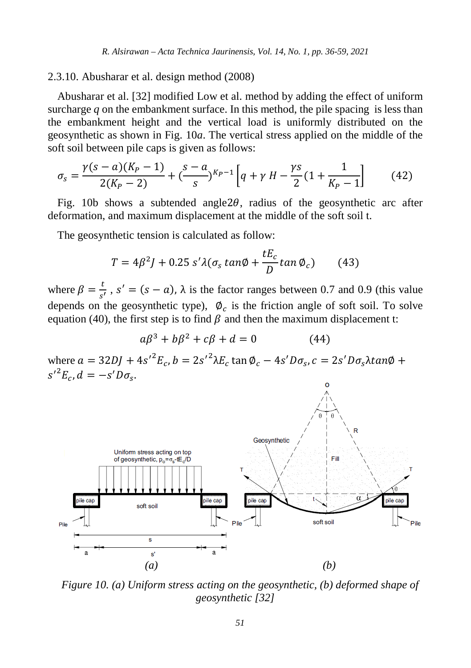2.3.10. Abusharar et al. design method (2008)

Abusharar et al. [32] modified Low et al. method by adding the effect of uniform surcharge *q* on the embankment surface. In this method, the pile spacing is less than the embankment height and the vertical load is uniformly distributed on the geosynthetic as shown in Fig. 10*a*. The vertical stress applied on the middle of the soft soil between pile caps is given as follows:

$$
\sigma_s = \frac{\gamma(s-a)(K_P - 1)}{2(K_P - 2)} + \left(\frac{s-a}{s}\right)^{K_P - 1} \left[q + \gamma H - \frac{\gamma s}{2} (1 + \frac{1}{K_P - 1})\right] \tag{42}
$$

Fig. 10b shows a subtended angle  $2\theta$ , radius of the geosynthetic arc after deformation, and maximum displacement at the middle of the soft soil t.

The geosynthetic tension is calculated as follow:

$$
T = 4\beta^2 J + 0.25 \, s' \lambda (\sigma_s \tan\phi + \frac{tE_c}{D} \tan\phi_c) \tag{43}
$$

where  $\beta = \frac{t}{s'}$ ,  $s' = (s - a)$ ,  $\lambda$  is the factor ranges between 0.7 and 0.9 (this value depends on the geosynthetic type),  $\phi_c$  is the friction angle of soft soil. To solve equation (40), the first step is to find  $\beta$  and then the maximum displacement t:

$$
a\beta^3 + b\beta^2 + c\beta + d = 0 \tag{44}
$$

where  $a = 32DJ + 4s'^2E_c$ ,  $b = 2s'^2\lambda E_c \tan \phi_c - 4s'D\sigma_s$ ,  $c = 2s'D\sigma_s \lambda tan\phi +$  $s'^{2}E_{c}, d = -s'D\sigma_{s}.$ 



*Figure 10. (a) Uniform stress acting on the geosynthetic, (b) deformed shape of geosynthetic [32]*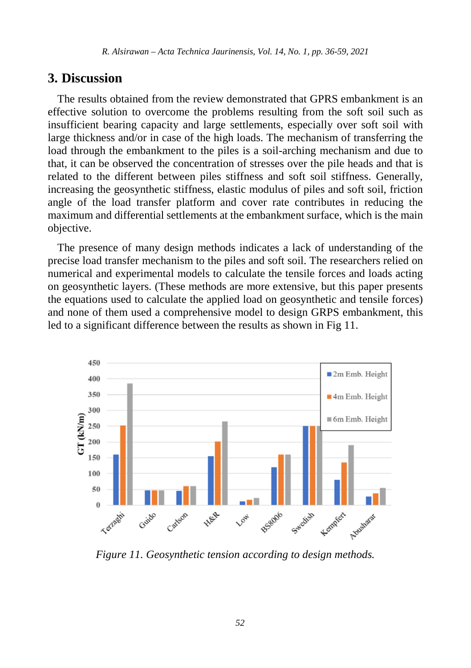### **3. Discussion**

The results obtained from the review demonstrated that GPRS embankment is an effective solution to overcome the problems resulting from the soft soil such as insufficient bearing capacity and large settlements, especially over soft soil with large thickness and/or in case of the high loads. The mechanism of transferring the load through the embankment to the piles is a soil-arching mechanism and due to that, it can be observed the concentration of stresses over the pile heads and that is related to the different between piles stiffness and soft soil stiffness. Generally, increasing the geosynthetic stiffness, elastic modulus of piles and soft soil, friction angle of the load transfer platform and cover rate contributes in reducing the maximum and differential settlements at the embankment surface, which is the main objective.

The presence of many design methods indicates a lack of understanding of the precise load transfer mechanism to the piles and soft soil. The researchers relied on numerical and experimental models to calculate the tensile forces and loads acting on geosynthetic layers. (These methods are more extensive, but this paper presents the equations used to calculate the applied load on geosynthetic and tensile forces) and none of them used a comprehensive model to design GRPS embankment, this led to a significant difference between the results as shown in Fig 11.



*Figure 11. Geosynthetic tension according to design methods.*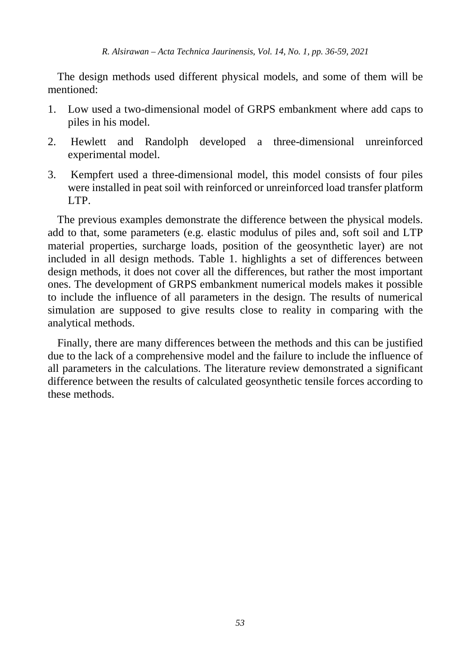The design methods used different physical models, and some of them will be mentioned:

- 1. Low used a two-dimensional model of GRPS embankment where add caps to piles in his model.
- 2. Hewlett and Randolph developed a three-dimensional unreinforced experimental model.
- 3. Kempfert used a three-dimensional model, this model consists of four piles were installed in peat soil with reinforced or unreinforced load transfer platform LTP.

The previous examples demonstrate the difference between the physical models. add to that, some parameters (e.g. elastic modulus of piles and, soft soil and LTP material properties, surcharge loads, position of the geosynthetic layer) are not included in all design methods. Table 1. highlights a set of differences between design methods, it does not cover all the differences, but rather the most important ones. The development of GRPS embankment numerical models makes it possible to include the influence of all parameters in the design. The results of numerical simulation are supposed to give results close to reality in comparing with the analytical methods.

Finally, there are many differences between the methods and this can be justified due to the lack of a comprehensive model and the failure to include the influence of all parameters in the calculations. The literature review demonstrated a significant difference between the results of calculated geosynthetic tensile forces according to these methods.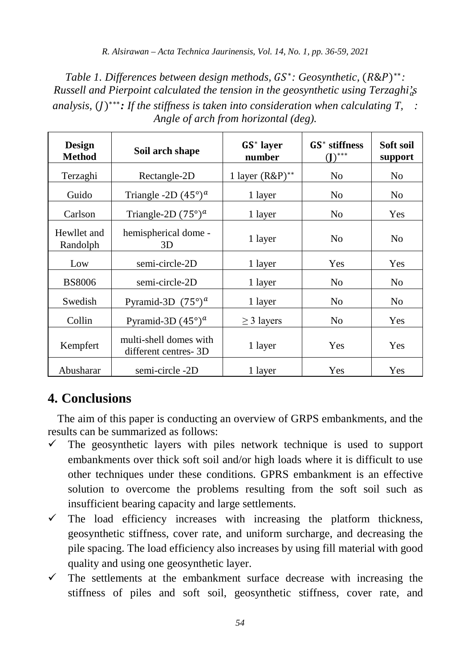*Table 1. Differences between design methods, GS\*: Geosynthetic, (R&P)\*\*: Russell and Pierpoint calculated the tension in the geosynthetic using Terzaghi's analysis,* ()∗∗∗*: If the stiffness is taken into consideration when calculating T, : Angle of arch from horizontal (deg).* 

| <b>Design</b><br><b>Method</b> | Soil arch shape                                | GS <sup>*</sup> laver<br>number | $GS^*$ stiffness<br>$\mathbf{D}$ *** | Soft soil<br>support |
|--------------------------------|------------------------------------------------|---------------------------------|--------------------------------------|----------------------|
| Terzaghi                       | Rectangle-2D                                   | 1 layer $(R\&P)^{**}$           | No                                   | No                   |
| Guido                          | Triangle -2D $(45^{\circ})^a$                  | 1 layer                         | No                                   | N <sub>0</sub>       |
| Carlson                        | Triangle-2D $(75^{\circ})^a$                   | 1 layer                         | No                                   | Yes                  |
| Hewllet and<br>Randolph        | hemispherical dome -<br>3D                     | 1 layer                         | N <sub>0</sub>                       | N <sub>0</sub>       |
| Low                            | semi-circle-2D                                 | 1 layer                         | Yes                                  | Yes                  |
| <b>BS8006</b>                  | semi-circle-2D                                 | 1 layer                         | No                                   | N <sub>0</sub>       |
| Swedish                        | Pyramid-3D $(75^{\circ})^a$                    | 1 layer                         | N <sub>0</sub>                       | N <sub>0</sub>       |
| Collin                         | Pyramid-3D $(45^{\circ})^a$                    | $\geq$ 3 layers                 | No                                   | Yes                  |
| Kempfert                       | multi-shell domes with<br>different centres-3D | 1 layer                         | Yes                                  | Yes                  |
| Abusharar                      | semi-circle -2D                                | 1 layer                         | Yes                                  | Yes                  |

# **4. Conclusions**

The aim of this paper is conducting an overview of GRPS embankments, and the results can be summarized as follows:

- $\checkmark$  The geosynthetic layers with piles network technique is used to support embankments over thick soft soil and/or high loads where it is difficult to use other techniques under these conditions. GPRS embankment is an effective solution to overcome the problems resulting from the soft soil such as insufficient bearing capacity and large settlements.
- $\checkmark$  The load efficiency increases with increasing the platform thickness, geosynthetic stiffness, cover rate, and uniform surcharge, and decreasing the pile spacing. The load efficiency also increases by using fill material with good quality and using one geosynthetic layer.
- The settlements at the embankment surface decrease with increasing the stiffness of piles and soft soil, geosynthetic stiffness, cover rate, and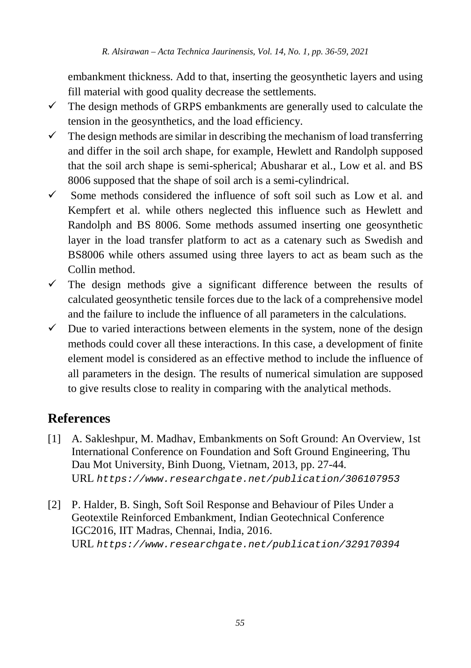embankment thickness. Add to that, inserting the geosynthetic layers and using fill material with good quality decrease the settlements.

- $\checkmark$  The design methods of GRPS embankments are generally used to calculate the tension in the geosynthetics, and the load efficiency.
- $\checkmark$  The design methods are similar in describing the mechanism of load transferring and differ in the soil arch shape, for example, Hewlett and Randolph supposed that the soil arch shape is semi-spherical; Abusharar et al., Low et al. and BS 8006 supposed that the shape of soil arch is a semi-cylindrical.
- $\checkmark$  Some methods considered the influence of soft soil such as Low et al. and Kempfert et al. while others neglected this influence such as Hewlett and Randolph and BS 8006. Some methods assumed inserting one geosynthetic layer in the load transfer platform to act as a catenary such as Swedish and BS8006 while others assumed using three layers to act as beam such as the Collin method.
- $\checkmark$  The design methods give a significant difference between the results of calculated geosynthetic tensile forces due to the lack of a comprehensive model and the failure to include the influence of all parameters in the calculations.
- $\checkmark$  Due to varied interactions between elements in the system, none of the design methods could cover all these interactions. In this case, a development of finite element model is considered as an effective method to include the influence of all parameters in the design. The results of numerical simulation are supposed to give results close to reality in comparing with the analytical methods.

# **References**

- [1] A. Sakleshpur, M. Madhav, Embankments on Soft Ground: An Overview, 1st International Conference on Foundation and Soft Ground Engineering, Thu Dau Mot University, Binh Duong, Vietnam, 2013, pp. 27-44. URL *[https://www.researchgate.net/publication/306107953](http://dx.doi.org/10.14513/actatechjaur.v10.n2.446)*
- [2] P. Halder, B. Singh, Soft Soil Response and Behaviour of Piles Under a Geotextile Reinforced Embankment, Indian Geotechnical Conference IGC2016, IIT Madras, Chennai, India, 2016. URL *<https://www.researchgate.net/publication/329170394>*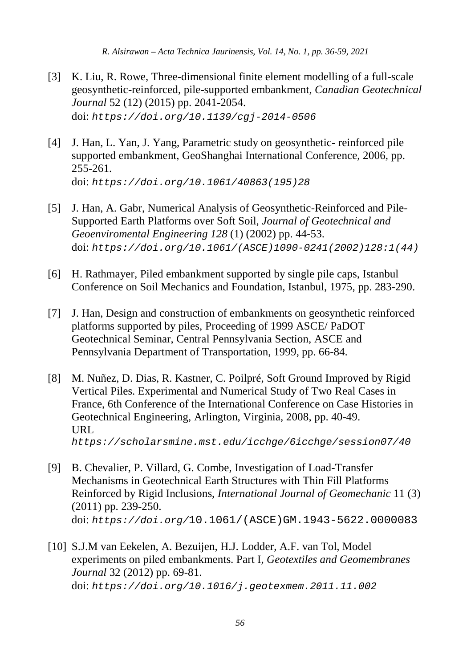- [3] K. Liu, R. Rowe, Three-dimensional finite element modelling of a full-scale geosynthetic-reinforced, pile-supported embankment, *Canadian Geotechnical Journal* 52 (12) (2015) pp. 2041-2054. doi: *<https://doi.org/10.1139/cgj-2014-0506>*
- [4] J. Han, L. Yan, J. Yang, Parametric study on geosynthetic- reinforced pile supported embankment, GeoShanghai International Conference, 2006, pp. 255-261. doi: *https://doi.org/10.1061/40863(195)28*
- [5] J. Han, A. Gabr, Numerical Analysis of Geosynthetic-Reinforced and Pile-Supported Earth Platforms over Soft Soil, *Journal of Geotechnical and Geoenviromental Engineering 128* (1) (2002) pp. 44-53. doi: *[https://doi.org/10.1061/\(ASCE\)1090-0241\(2002\)128:1\(44\)](https://doi.org/10.1061/(ASCE)1090-0241(2002)128:1(44))*
- [6] H. Rathmayer, Piled embankment supported by single pile caps, Istanbul Conference on Soil Mechanics and Foundation, Istanbul, 1975, pp. 283-290.
- [7] J. Han, Design and construction of embankments on geosynthetic reinforced platforms supported by piles, Proceeding of 1999 ASCE/ PaDOT Geotechnical Seminar, Central Pennsylvania Section, ASCE and Pennsylvania Department of Transportation, 1999, pp. 66-84.
- [8] M. Nuñez, D. Dias, R. Kastner, C. Poilpré, Soft Ground Improved by Rigid Vertical Piles. Experimental and Numerical Study of Two Real Cases in France, 6th Conference of the International Conference on Case Histories in Geotechnical Engineering, Arlington, Virginia, 2008, pp. 40-49. URL *https://scholarsmine.mst.edu/icchge/6icchge/session07/40*
- [9] B. Chevalier, P. Villard, G. Combe, Investigation of Load-Transfer Mechanisms in Geotechnical Earth Structures with Thin Fill Platforms Reinforced by Rigid Inclusions, *International Journal of Geomechanic* 11 (3) (2011) pp. 239-250. doi: *https://doi.org/*10.1061/(ASCE)GM.1943-5622.0000083
- [10] S.J.M van Eekelen, A. Bezuijen, H.J. Lodder, A.F. van Tol, Model experiments on piled embankments. Part I, *Geotextiles and Geomembranes Journal* 32 (2012) pp. 69-81. doi: *https://doi.org/10.1016/j.geotexmem.2011.11.002*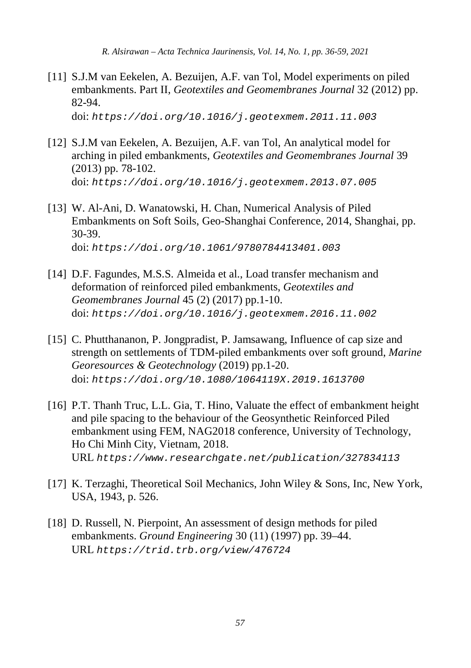[11] S.J.M van Eekelen, A. Bezuijen, A.F. van Tol, Model experiments on piled embankments. Part II, *Geotextiles and Geomembranes Journal* 32 (2012) pp. 82-94.

doi: *https://doi.org/10.1016/j.geotexmem.2011.11.003*

- [12] S.J.M van Eekelen, A. Bezuijen, A.F. van Tol, An analytical model for arching in piled embankments, *Geotextiles and Geomembranes Journal* 39 (2013) pp. 78-102. doi: *https://doi.org/10.1016/j.geotexmem.2013.07.005*
- [13] W. Al-Ani, D. Wanatowski, H. Chan, Numerical Analysis of Piled Embankments on Soft Soils, Geo-Shanghai Conference, 2014, Shanghai, pp. 30-39. doi: *https://doi.org/10.1061/9780784413401.003*
- [14] D.F. Fagundes, M.S.S. Almeida et al., Load transfer mechanism and deformation of reinforced piled embankments, *Geotextiles and Geomembranes Journal* 45 (2) (2017) pp.1-10. doi: *https://doi.org/10.1016/j.geotexmem.2016.11.002*
- [15] C. Phutthananon, P. Jongpradist, P. Jamsawang, Influence of cap size and strength on settlements of TDM-piled embankments over soft ground, *Marine Georesources & Geotechnology* (2019) pp.1-20. doi: *https://doi.org/10.1080/1064119X.2019.1613700*
- [16] P.T. Thanh Truc, L.L. Gia, T. Hino, Valuate the effect of embankment height and pile spacing to the behaviour of the Geosynthetic Reinforced Piled embankment using FEM, NAG2018 conference, University of Technology, Ho Chi Minh City, Vietnam, 2018. URL *https://www.researchgate.net/publication/327834113*
- [17] K. Terzaghi, Theoretical Soil Mechanics, John Wiley & Sons, Inc, New York, USA, 1943, p. 526.
- [18] D. Russell, N. Pierpoint, An assessment of design methods for piled embankments. *Ground Engineering* 30 (11) (1997) pp. 39–44. URL *https://trid.trb.org/view/476724*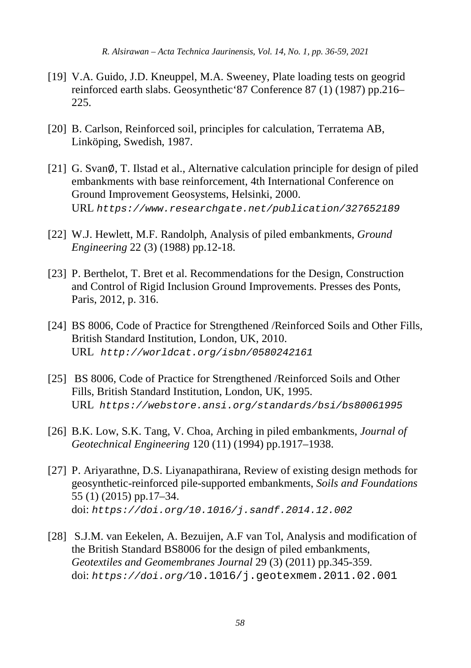- [19] V.A. Guido, J.D. Kneuppel, M.A. Sweeney, Plate loading tests on geogrid reinforced earth slabs. Geosynthetic'87 Conference 87 (1) (1987) pp.216– 225.
- [20] B. Carlson, Reinforced soil, principles for calculation, Terratema AB, Linköping, Swedish, 1987.
- [21] G. Svan∅, T. Ilstad et al., Alternative calculation principle for design of piled embankments with base reinforcement, 4th International Conference on Ground Improvement Geosystems, Helsinki, 2000. URL *https://www.researchgate.net/publication/327652189*
- [22] W.J. Hewlett, M.F. Randolph, Analysis of piled embankments, *Ground Engineering* 22 (3) (1988) pp.12-18.
- [23] P. Berthelot, T. Bret et al. Recommendations for the Design, Construction and Control of Rigid Inclusion Ground Improvements. Presses des Ponts, Paris, 2012, p. 316.
- [24] BS 8006, Code of Practice for Strengthened /Reinforced Soils and Other Fills, British Standard Institution, London, UK, 2010. URL *<http://worldcat.org/isbn/0580242161>*
- [25] BS 8006, Code of Practice for Strengthened /Reinforced Soils and Other Fills, British Standard Institution, London, UK, 1995. URL *https://webstore.ansi.org/standards/bsi/bs80061995*
- [26] B.K. Low, S.K. Tang, V. Choa, Arching in piled embankments, *Journal of Geotechnical Engineering* 120 (11) (1994) pp.1917–1938.
- [27] P. Ariyarathne, D.S. Liyanapathirana, Review of existing design methods for geosynthetic-reinforced pile-supported embankments, *Soils and Foundations* 55 (1) (2015) pp.17–34. doi: *https://doi.org/10.1016/j.sandf.2014.12.002*
- [28] S.J.M. van Eekelen, A. Bezuijen, A.F van Tol, Analysis and modification of the British Standard BS8006 for the design of piled embankments, *Geotextiles and Geomembranes Journal* 29 (3) (2011) pp.345-359. doi: *https://doi.org/*10.1016/j.geotexmem.2011.02.001